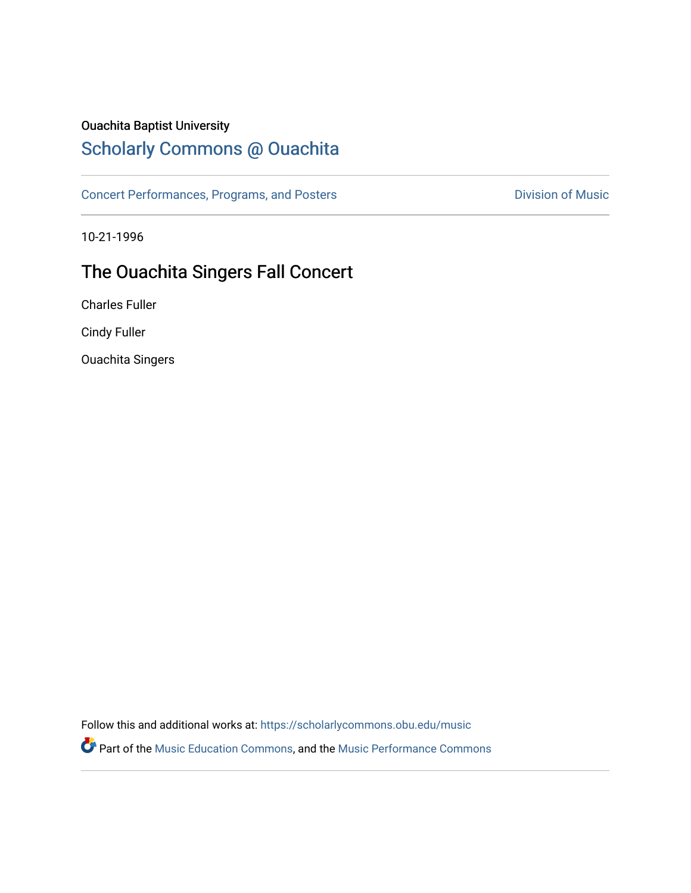### Ouachita Baptist University

## [Scholarly Commons @ Ouachita](https://scholarlycommons.obu.edu/)

[Concert Performances, Programs, and Posters](https://scholarlycommons.obu.edu/music) **Division of Music** Division of Music

10-21-1996

## The Ouachita Singers Fall Concert

Charles Fuller

Cindy Fuller

Ouachita Singers

Follow this and additional works at: [https://scholarlycommons.obu.edu/music](https://scholarlycommons.obu.edu/music?utm_source=scholarlycommons.obu.edu%2Fmusic%2F150&utm_medium=PDF&utm_campaign=PDFCoverPages) 

Part of the [Music Education Commons,](http://network.bepress.com/hgg/discipline/1246?utm_source=scholarlycommons.obu.edu%2Fmusic%2F150&utm_medium=PDF&utm_campaign=PDFCoverPages) and the [Music Performance Commons](http://network.bepress.com/hgg/discipline/1128?utm_source=scholarlycommons.obu.edu%2Fmusic%2F150&utm_medium=PDF&utm_campaign=PDFCoverPages)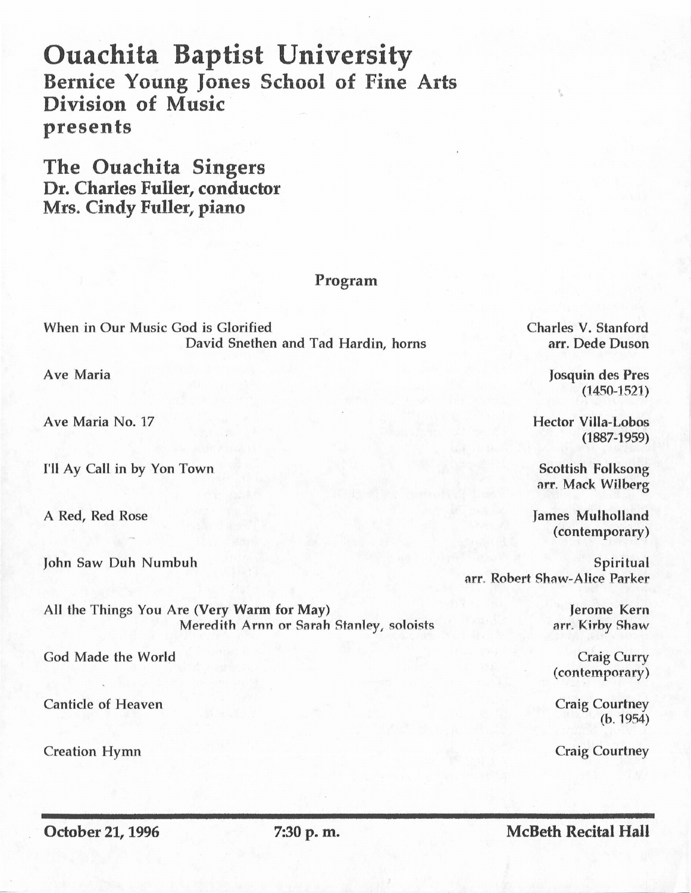# Ouachita Baptist University Bernice Young Jones School of Fine Arts Division of Music presents

The Ouachita Singers Dr. Charles Fuller, conductor Mrs. Cindy Fuller, piano

### Program

When in Our Music God is Glorified David Snethen and Tad Hardin, horns

Ave Maria

Ave Maria No. 17

I'll Ay Call in by Yon Town

A Red, Red Rose

John Saw Duh Numbuh

All the Things You Are (Very Warm for May) Meredith Arnn or Sarah Stanley, soloists

God Made the World

Canticle of Heaven

Creation Hymn

Charles V. Stanford arr. Dede Duson

·,

Josquin des Pres (1450-1521)

Hector Villa-Lobos (1887-1959)

Scottish Folksong arr. Mack WiJberg

James Mulholland (contemporary)

Spiritual arr. Robert Shaw-Alice Parker

> Jerome Kern arr. Kirby Shaw

> Craig Curry (contemporary)

Craig Courtney (b. 1954)

Craig Courtney

October 21, 1996 7:30 p.m.

McBeth Recital Hall